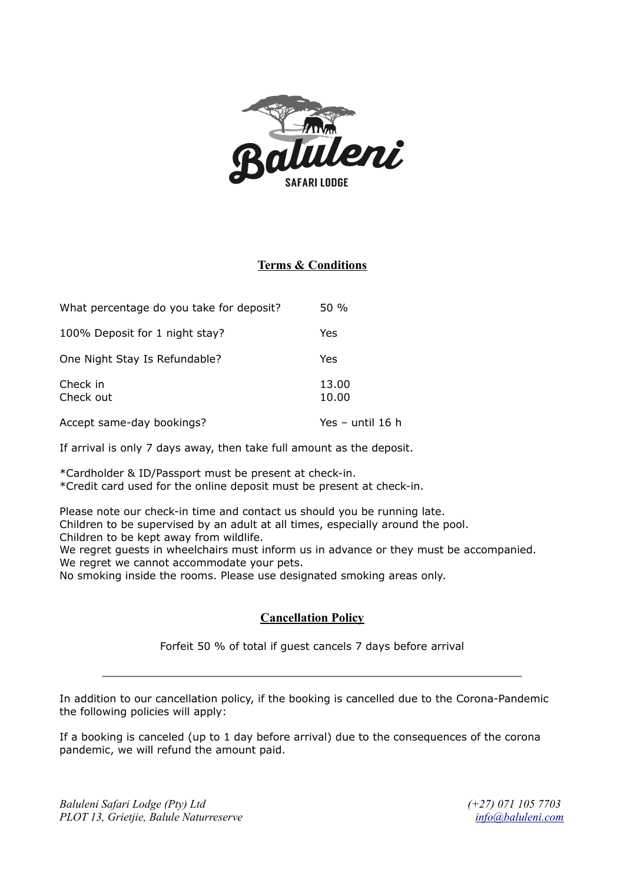

## **Terms & Conditions**

| Accept same-day bookings?                | Yes - until 16 h |
|------------------------------------------|------------------|
| Check in<br>Check out                    | 13.00<br>10.00   |
| One Night Stay Is Refundable?            | Yes              |
| 100% Deposit for 1 night stay?           | Yes              |
| What percentage do you take for deposit? | 50 %             |

If arrival is only 7 days away, then take full amount as the deposit.

\*Cardholder & ID/Passport must be present at check-in.

\*Credit card used for the online deposit must be present at check-in.

Please note our check-in time and contact us should you be running late. Children to be supervised by an adult at all times, especially around the pool. Children to be kept away from wildlife. We regret quests in wheelchairs must inform us in advance or they must be accompanied. We regret we cannot accommodate your pets.

No smoking inside the rooms. Please use designated smoking areas only.

## **Cancellation Policy**

Forfeit 50 % of total if guest cancels 7 days before arrival

 $\_$  , and the set of the set of the set of the set of the set of the set of the set of the set of the set of the set of the set of the set of the set of the set of the set of the set of the set of the set of the set of th

In addition to our cancellation policy, if the booking is cancelled due to the Corona-Pandemic the following policies will apply:

If a booking is canceled (up to 1 day before arrival) due to the consequences of the corona pandemic, we will refund the amount paid.

*Baluleni Safari Lodge (Pty) Ltd (+27) 071 105 7703 PLOT 13, Grietjie, Balule Naturreserve [info@baluleni.com](mailto:info@baluleni.com)*